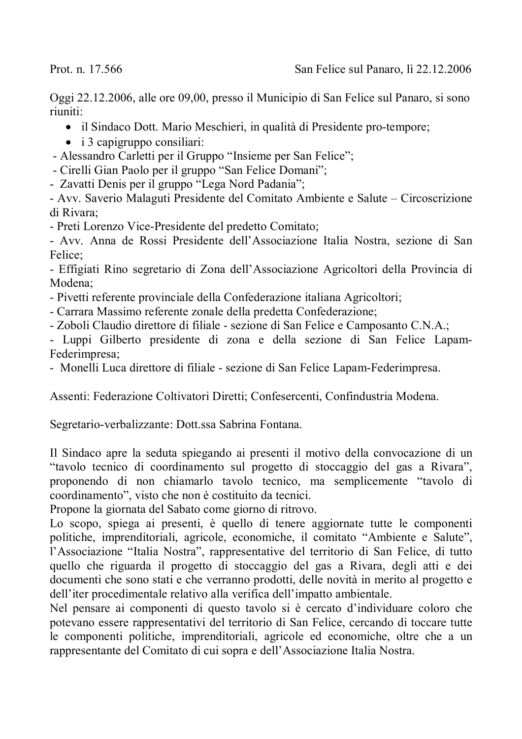Prot. n. 17.566

Oggi 22.12.2006, alle ore 09,00, presso il Municipio di San Felice sul Panaro, si sono riuniti:

- il Sindaco Dott. Mario Meschieri, in qualità di Presidente pro-tempore;
- $\bullet$  i 3 capigruppo consiliari:
- Alessandro Carletti per il Gruppo "Insieme per San Felice";
- Cirelli Gian Paolo per il gruppo "San Felice Domani";
- Zavatti Denis per il gruppo "Lega Nord Padania";
- Avv. Saverio Malaguti Presidente del Comitato Ambiente e Salute Circoscrizione di Rivara:
- Preti Lorenzo Vice-Presidente del predetto Comitato:

- Avv. Anna de Rossi Presidente dell'Associazione Italia Nostra, sezione di San Felice:

- Effigiati Rino segretario di Zona dell'Associazione Agricoltori della Provincia di Modena:

- Pivetti referente provinciale della Confederazione italiana Agricoltori;
- Carrara Massimo referente zonale della predetta Confederazione;
- Zoboli Claudio direttore di filiale sezione di San Felice e Camposanto C.N.A.;

- Luppi Gilberto presidente di zona e della sezione di San Felice Lapam-Federimpresa;

- Monelli Luca direttore di filiale - sezione di San Felice Lapam-Federimpresa.

Assenti: Federazione Coltivatori Diretti; Confesercenti, Confindustria Modena.

Segretario-verbalizzante: Dott.ssa Sabrina Fontana.

Il Sindaco apre la seduta spiegando ai presenti il motivo della convocazione di un "tavolo tecnico di coordinamento sul progetto di stoccaggio del gas a Rivara", proponendo di non chiamarlo tavolo tecnico, ma semplicemente "tavolo di coordinamento", visto che non è costituito da tecnici.

Propone la giornata del Sabato come giorno di ritrovo.

Lo scopo, spiega ai presenti, è quello di tenere aggiornate tutte le componenti politiche, imprenditoriali, agricole, economiche, il comitato "Ambiente e Salute", l'Associazione "Italia Nostra", rappresentative del territorio di San Felice, di tutto quello che riguarda il progetto di stoccaggio del gas a Rivara, degli atti e dei documenti che sono stati e che verranno prodotti, delle novità in merito al progetto e dell'iter procedimentale relativo alla verifica dell'impatto ambientale.

Nel pensare ai componenti di questo tavolo si è cercato d'individuare coloro che potevano essere rappresentativi del territorio di San Felice, cercando di toccare tutte le componenti politiche, imprenditoriali, agricole ed economiche, oltre che a un rappresentante del Comitato di cui sopra e dell'Associazione Italia Nostra.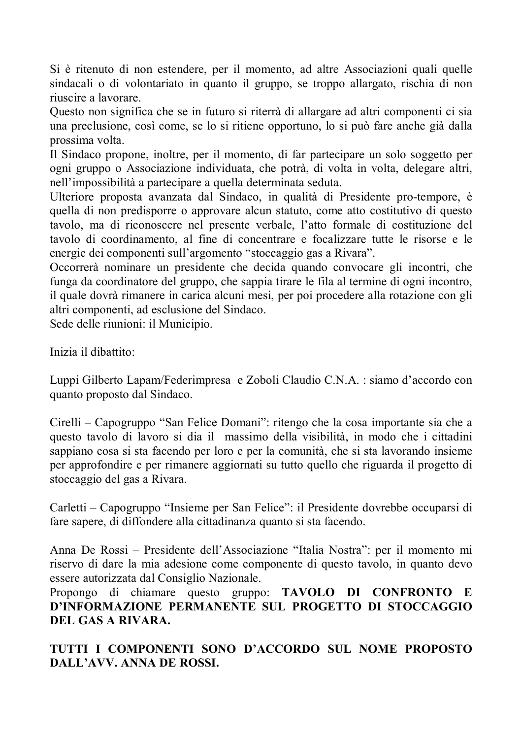Si è ritenuto di non estendere, per il momento, ad altre Associazioni quali quelle sindacali o di volontariato in quanto il gruppo, se troppo allargato, rischia di non riuscire a lavorare

Questo non significa che se in futuro si riterrà di allargare ad altri componenti ci sia una preclusione, così come, se lo si ritiene opportuno, lo si può fare anche già dalla prossima volta.

Il Sindaco propone, inoltre, per il momento, di far partecipare un solo soggetto per ogni gruppo o Associazione individuata, che potrà, di volta in volta, delegare altri, nell'impossibilità a partecipare a quella determinata seduta.

Ulteriore proposta avanzata dal Sindaco, in qualità di Presidente pro-tempore, è quella di non predisporre o approvare alcun statuto, come atto costitutivo di questo tavolo, ma di riconoscere nel presente verbale, l'atto formale di costituzione del tavolo di coordinamento, al fine di concentrare e focalizzare tutte le risorse e le energie dei componenti sull'argomento "stoccaggio gas a Rivara".

Occorrerà nominare un presidente che decida quando convocare gli incontri, che funga da coordinatore del gruppo, che sappia tirare le fila al termine di ogni incontro, il quale dovrà rimanere in carica alcuni mesi, per poi procedere alla rotazione con gli altri componenti, ad esclusione del Sindaco.

Sede delle riunioni: il Municipio.

Inizia il dibattito:

Luppi Gilberto Lapam/Federimpresa e Zoboli Claudio C.N.A. : siamo d'accordo con quanto proposto dal Sindaco.

Cirelli – Capogruppo "San Felice Domani": ritengo che la cosa importante sia che a questo tavolo di lavoro si dia il massimo della visibilità, in modo che i cittadini sappiano cosa si sta facendo per loro e per la comunità, che si sta lavorando insieme per approfondire e per rimanere aggiornati su tutto quello che riguarda il progetto di stoccaggio del gas a Rivara.

Carletti – Capogruppo "Insieme per San Felice": il Presidente dovrebbe occuparsi di fare sapere, di diffondere alla cittadinanza quanto si sta facendo.

Anna De Rossi – Presidente dell'Associazione "Italia Nostra": per il momento mi riservo di dare la mia adesione come componente di questo tavolo, in quanto devo essere autorizzata dal Consiglio Nazionale.

Propongo di chiamare questo gruppo: TAVOLO DI CONFRONTO E D'INFORMAZIONE PERMANENTE SUL PROGETTO DI STOCCAGGIO DEL GAS A RIVARA.

TUTTI I COMPONENTI SONO D'ACCORDO SUL NOME PROPOSTO DALL'AVV. ANNA DE ROSSI.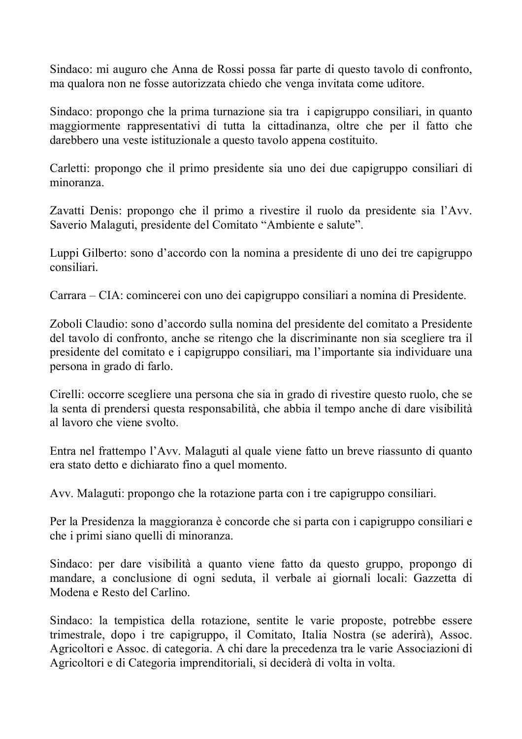Sindaco: mi auguro che Anna de Rossi possa far parte di questo tavolo di confronto, ma qualora non ne fosse autorizzata chiedo che venga invitata come uditore.

Sindaco: propongo che la prima turnazione sia tra i capigruppo consiliari, in quanto maggiormente rappresentativi di tutta la cittadinanza, oltre che per il fatto che darebbero una veste istituzionale a questo tavolo appena costituito.

Carletti: propongo che il primo presidente sia uno dei due capigruppo consiliari di minoranza

Zavatti Denis: propongo che il primo a rivestire il ruolo da presidente sia l'Avv. Saverio Malaguti, presidente del Comitato "Ambiente e salute".

Luppi Gilberto: sono d'accordo con la nomina a presidente di uno dei tre capigruppo consiliari.

Carrara – CIA: comincerei con uno dei capigruppo consiliari a nomina di Presidente.

Zoboli Claudio: sono d'accordo sulla nomina del presidente del comitato a Presidente del tavolo di confronto, anche se ritengo che la discriminante non sia scegliere tra il presidente del comitato e i capigruppo consiliari, ma l'importante sia individuare una persona in grado di farlo.

Cirelli: occorre scegliere una persona che sia in grado di rivestire questo ruolo, che se la senta di prendersi questa responsabilità, che abbia il tempo anche di dare visibilità al lavoro che viene svolto.

Entra nel frattempo l'Avv. Malaguti al quale viene fatto un breve riassunto di quanto era stato detto e dichiarato fino a quel momento.

Avv. Malaguti: propongo che la rotazione parta con i tre capigruppo consiliari.

Per la Presidenza la maggioranza è concorde che si parta con i capigruppo consiliari e che i primi siano quelli di minoranza.

Sindaco: per dare visibilità a quanto viene fatto da questo gruppo, propongo di mandare, a conclusione di ogni seduta, il verbale ai giornali locali: Gazzetta di Modena e Resto del Carlino.

Sindaco: la tempistica della rotazione, sentite le varie proposte, potrebbe essere trimestrale, dopo i tre capigruppo, il Comitato, Italia Nostra (se aderirà), Assoc. Agricoltori e Assoc. di categoria. A chi dare la precedenza tra le varie Associazioni di Agricoltori e di Categoria imprenditoriali, si deciderà di volta in volta.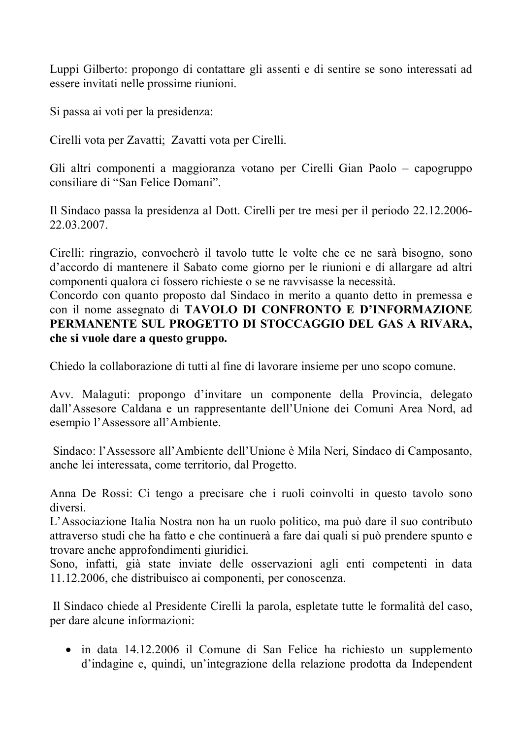Luppi Gilberto: propongo di contattare gli assenti e di sentire se sono interessati ad essere invitati nelle prossime riunioni.

Si passa ai voti per la presidenza:

Cirelli vota per Zavatti; Zavatti vota per Cirelli.

Gli altri componenti a maggioranza votano per Cirelli Gian Paolo – capogruppo consiliare di "San Felice Domani".

Il Sindaco passa la presidenza al Dott. Cirelli per tre mesi per il periodo 22.12.2006-22.03.2007.

Cirelli: ringrazio, convocherò il tavolo tutte le volte che ce ne sarà bisogno, sono d'accordo di mantenere il Sabato come giorno per le riunioni e di allargare ad altri componenti qualora ci fossero richieste o se ne ravvisasse la necessità.

Concordo con quanto proposto dal Sindaco in merito a quanto detto in premessa e con il nome assegnato di TAVOLO DI CONFRONTO E D'INFORMAZIONE PERMANENTE SUL PROGETTO DI STOCCAGGIO DEL GAS A RIVARA. che si vuole dare a questo gruppo.

Chiedo la collaborazione di tutti al fine di lavorare insieme per uno scopo comune.

Avv. Malaguti: propongo d'invitare un componente della Provincia, delegato dall'Assesore Caldana e un rappresentante dell'Unione dei Comuni Area Nord, ad esempio l'Assessore all'Ambiente.

Sindaco: l'Assessore all'Ambiente dell'Unione è Mila Neri, Sindaco di Camposanto, anche lei interessata, come territorio, dal Progetto.

Anna De Rossi: Ci tengo a precisare che i ruoli coinvolti in questo tavolo sono diversi

L'Associazione Italia Nostra non ha un ruolo politico, ma può dare il suo contributo attraverso studi che ha fatto e che continuerà a fare dai quali si può prendere spunto e trovare anche approfondimenti giuridici.

Sono, infatti, già state inviate delle osservazioni agli enti competenti in data 11.12.2006, che distribuisco ai componenti, per conoscenza.

Il Sindaco chiede al Presidente Cirelli la parola, espletate tutte le formalità del caso, per dare alcune informazioni:

• in data 14.12.2006 il Comune di San Felice ha richiesto un supplemento d'indagine e, quindi, un'integrazione della relazione prodotta da Independent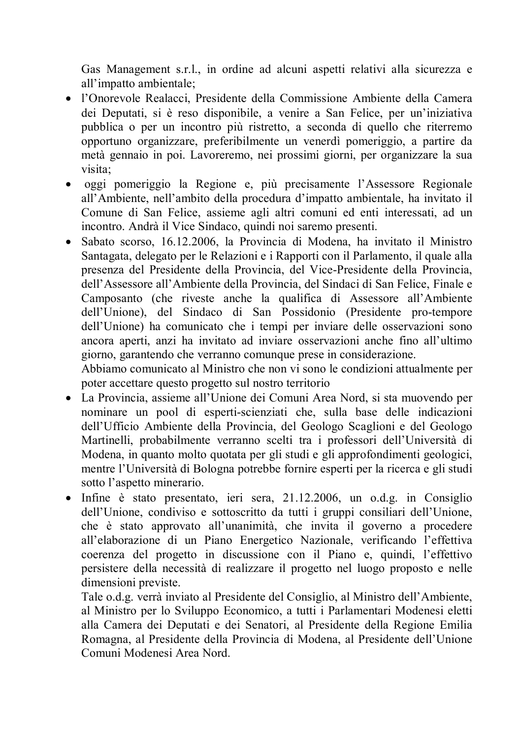Gas Management s.r.l., in ordine ad alcuni aspetti relativi alla sicurezza e all'impatto ambientale:

- · l'Onorevole Realacci, Presidente della Commissione Ambiente della Camera dei Deputati, si è reso disponibile, a venire a San Felice, per un'iniziativa pubblica o per un incontro più ristretto, a seconda di quello che riterremo opportuno organizzare, preferibilmente un venerdì pomeriggio, a partire da metà gennaio in poi. Lavoreremo, nei prossimi giorni, per organizzare la sua visita:
- · oggi pomeriggio la Regione e, più precisamente l'Assessore Regionale all'Ambiente, nell'ambito della procedura d'impatto ambientale, ha invitato il Comune di San Felice, assieme agli altri comuni ed enti interessati, ad un incontro. Andrà il Vice Sindaco, quindi noi saremo presenti.
- · Sabato scorso, 16.12.2006, la Provincia di Modena, ha invitato il Ministro Santagata, delegato per le Relazioni e i Rapporti con il Parlamento, il quale alla presenza del Presidente della Provincia, del Vice-Presidente della Provincia, dell'Assessore all'Ambiente della Provincia, del Sindaci di San Felice, Finale e Camposanto (che riveste anche la qualifica di Assessore all'Ambiente dell'Unione), del Sindaco di San Possidonio (Presidente pro-tempore dell'Unione) ha comunicato che i tempi per inviare delle osservazioni sono ancora aperti, anzi ha invitato ad inviare osservazioni anche fino all'ultimo giorno, garantendo che verranno comunque prese in considerazione.

Abbiamo comunicato al Ministro che non vi sono le condizioni attualmente per poter accettare questo progetto sul nostro territorio

- La Provincia, assieme all'Unione dei Comuni Area Nord, si sta muovendo per nominare un pool di esperti-scienziati che, sulla base delle indicazioni dell'Ufficio Ambiente della Provincia, del Geologo Scaglioni e del Geologo Martinelli, probabilmente verranno scelti tra i professori dell'Università di Modena, in quanto molto quotata per gli studi e gli approfondimenti geologici, mentre l'Università di Bologna potrebbe fornire esperti per la ricerca e gli studi sotto l'aspetto minerario.
- Infine è stato presentato, ieri sera,  $21.12.2006$ , un o.d.g. in Consiglio dell'Unione, condiviso e sottoscritto da tutti i gruppi consiliari dell'Unione, che è stato approvato all'unanimità, che invita il governo a procedere all'elaborazione di un Piano Energetico Nazionale, verificando l'effettiva coerenza del progetto in discussione con il Piano e, quindi, l'effettivo persistere della necessità di realizzare il progetto nel luogo proposto e nelle dimensioni previste.

Tale o.d.g. verrà inviato al Presidente del Consiglio, al Ministro dell'Ambiente, al Ministro per lo Sviluppo Economico, a tutti i Parlamentari Modenesi eletti alla Camera dei Deputati e dei Senatori, al Presidente della Regione Emilia Romagna, al Presidente della Provincia di Modena, al Presidente dell'Unione Comuni Modenesi Area Nord